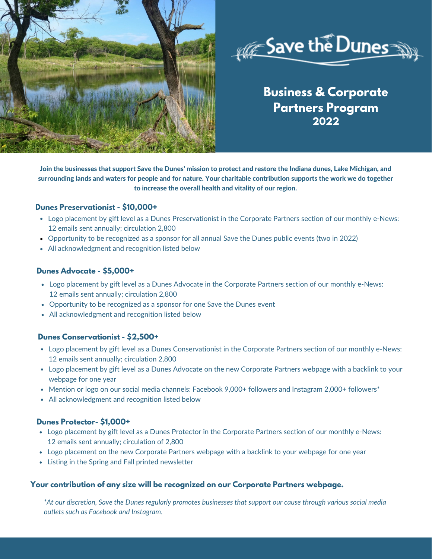



# **Business & Corporate Partners Program 2022**

Join the businesses that support Save the Dunes' mission to protect and restore the Indiana dunes, Lake Michigan, and surrounding lands and waters for people and for nature. Your charitable contribution supports the work we do together to increase the overall health and vitality of our region.

## **Dunes Preservationist - \$10,000+**

- Logo placement by gift level as a Dunes Preservationist in the Corporate Partners section of our monthly e-News: 12 emails sent annually; circulation 2,800
- Opportunity to be recognized as a sponsor for all annual Save the Dunes public events (two in 2022)
- All acknowledgment and recognition listed below

## **Dunes Advocate - \$5,000+**

- Logo placement by gift level as a Dunes Advocate in the Corporate Partners section of our monthly e-News: 12 emails sent annually; circulation 2,800
- Opportunity to be recognized as a sponsor for one Save the Dunes event
- All acknowledgment and recognition listed below

## **Dunes Conservationist - \$2,500+**

- Logo placement by gift level as a Dunes Conservationist in the Corporate Partners section of our monthly e-News: 12 emails sent annually; circulation 2,800
- Logo placement by gift level as a Dunes Advocate on the new Corporate Partners webpage with a backlink to your webpage for one year
- Mention or logo on our social media channels: Facebook 9,000+ followers and Instagram 2,000+ followers<sup>\*</sup>
- All acknowledgment and recognition listed below

#### **Dunes Protector- \$1,000+**

- Logo placement by gift level as a Dunes Protector in the Corporate Partners section of our monthly e-News: 12 emails sent annually; circulation of 2,800
- Logo placement on the new Corporate Partners webpage with a backlink to your webpage for one year
- Listing in the Spring and Fall printed newsletter

#### **Your contribution of any size will be recognized on our Corporate Partners webpage.**

\*At our discretion, Save the Dunes regularly promotes businesses that support our cause through various social media *outlets such as Facebook and Instagram.*